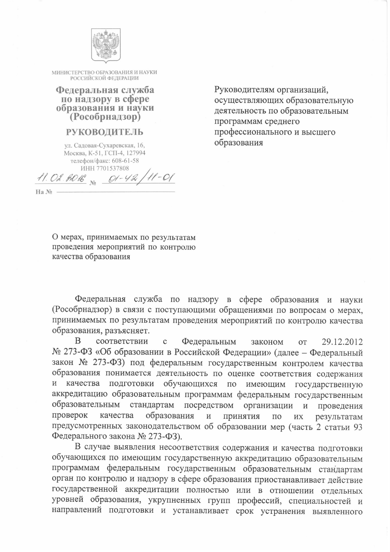

МИНИСТЕРСТВО ОБРАЗОВАНИЯ И НАУКИ РОССИЙСКОЙ ФЕДЕРАЦИИ

Федеральная служба по надзору в сфере образования и науки  $(Pocofp<sub>HA/J30p</sub>)$ 

## **РУКОВОДИТЕЛЬ**

ул. Садовая-Сухаревская, 16, Москва, К-51, ГСП-4, 127994 телефон/факс: 608-61-58 ИНН 7701537808

11. 02. RO16 No  $11 - 01$  $Q1 - 42$ 

Руководителям организаций, осуществляющих образовательную деятельность по образовательным программам среднего профессионального и высшего образования

О мерах, принимаемых по результатам проведения мероприятий по контролю

качества образования

 $Ha$   $No$  -

Федеральная служба по надзору в сфере образования и науки (Рособрнадзор) в связи с поступающими обращениями по вопросам о мерах, принимаемых по результатам проведения мероприятий по контролю качества образования, разъясняет.

B соответствии Федеральным  $\mathbf{C}$ 29.12.2012 законом **OT** № 273-ФЗ «Об образовании в Российской Федерации» (далее - Федеральный закон № 273-ФЗ) под федеральным государственным контролем качества образования понимается деятельность по оценке соответствия содержания подготовки обучающихся по имеющим государственную И качества аккредитацию образовательным программам федеральным государственным стандартам посредством организации образовательным  $\mathbf{M}$ проведения проверок качества образования  $\,$  M принятия результатам  $\Pi$ O ИX предусмотренных законодательством об образовании мер (часть 2 статьи 93 Федерального закона № 273-ФЗ).

В случае выявления несоответствия содержания и качества подготовки обучающихся по имеющим государственную аккредитацию образовательным программам федеральным государственным образовательным стандартам орган по контролю и надзору в сфере образования приостанавливает действие государственной аккредитации полностью или в отношении отдельных уровней образования, укрупненных групп профессий, специальностей и направлений подготовки и устанавливает срок устранения выявленного